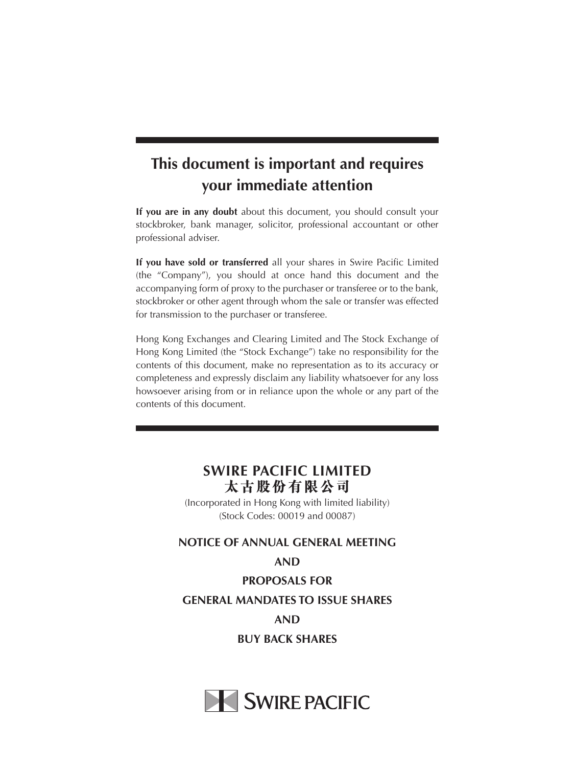# **This document is important and requires your immediate attention**

**If you are in any doubt** about this document, you should consult your stockbroker, bank manager, solicitor, professional accountant or other professional adviser.

**If you have sold or transferred** all your shares in Swire Pacific Limited (the "Company"), you should at once hand this document and the accompanying form of proxy to the purchaser or transferee or to the bank, stockbroker or other agent through whom the sale or transfer was effected for transmission to the purchaser or transferee.

Hong Kong Exchanges and Clearing Limited and The Stock Exchange of Hong Kong Limited (the "Stock Exchange") take no responsibility for the contents of this document, make no representation as to its accuracy or completeness and expressly disclaim any liability whatsoever for any loss howsoever arising from or in reliance upon the whole or any part of the contents of this document.

### **SWIRE PACIFIC LIMITED 太古股份有限公司**

(Incorporated in Hong Kong with limited liability) (Stock Codes: 00019 and 00087)

#### **NOTICE OF ANNUAL GENERAL MEETING**

#### **AND**

**PROPOSALS FOR GENERAL MANDATES TO ISSUE SHARES AND BUY BACK SHARES**

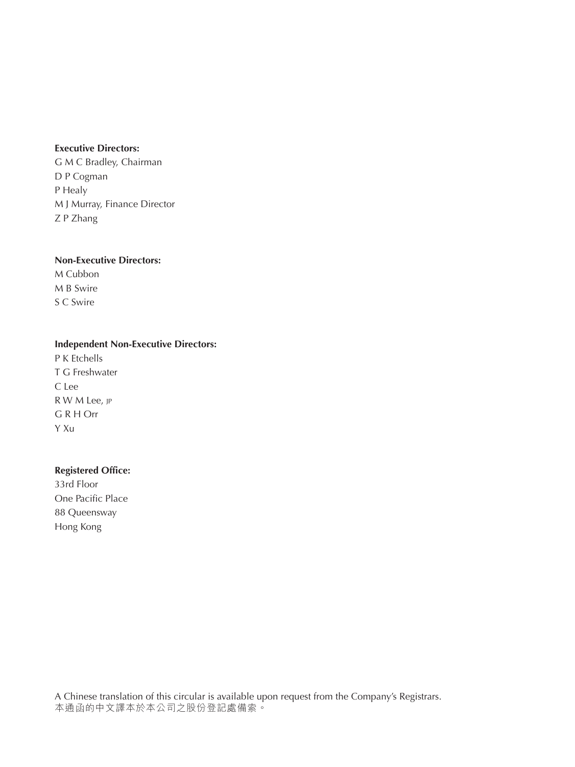#### **Executive Directors:**

G M C Bradley, Chairman D P Cogman P Healy M J Murray, Finance Director Z P Zhang

#### **Non-Executive Directors:**

M Cubbon M B Swire S C Swire

#### **Independent Non-Executive Directors:**

P K Etchells T G Freshwater C Lee R W M Lee, jp G R H Orr Y Xu

#### **Registered Office:**

33rd Floor One Pacific Place 88 Queensway Hong Kong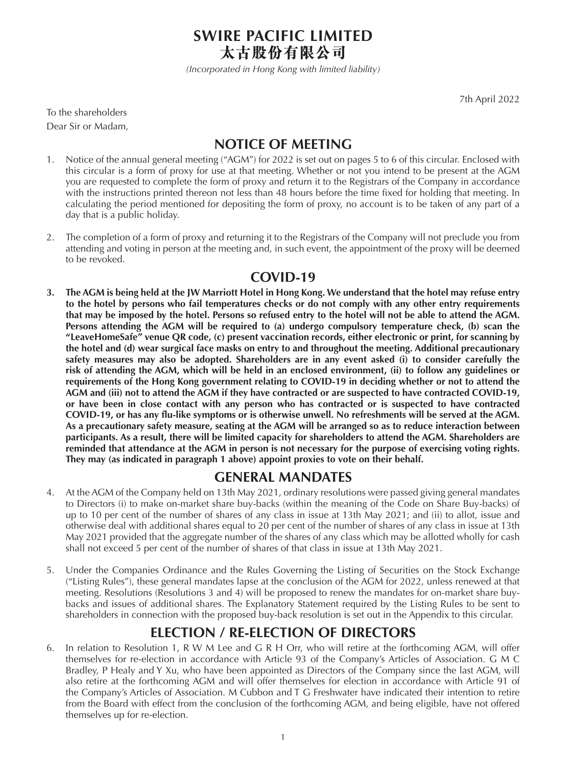**SWIRE PACIFIC LIMITED 太古股份有限公司**

*(Incorporated in Hong Kong with limited liability)*

7th April 2022

To the shareholders Dear Sir or Madam,

## **NOTICE OF MEETING**

- 1. Notice of the annual general meeting ("AGM") for 2022 is set out on pages 5 to 6 of this circular. Enclosed with this circular is a form of proxy for use at that meeting. Whether or not you intend to be present at the AGM you are requested to complete the form of proxy and return it to the Registrars of the Company in accordance with the instructions printed thereon not less than 48 hours before the time fixed for holding that meeting. In calculating the period mentioned for depositing the form of proxy, no account is to be taken of any part of a day that is a public holiday.
- 2. The completion of a form of proxy and returning it to the Registrars of the Company will not preclude you from attending and voting in person at the meeting and, in such event, the appointment of the proxy will be deemed to be revoked.

### **COVID-19**

**3. The AGM is being held at the JW Marriott Hotel in Hong Kong. We understand that the hotel may refuse entry to the hotel by persons who fail temperatures checks or do not comply with any other entry requirements that may be imposed by the hotel. Persons so refused entry to the hotel will not be able to attend the AGM. Persons attending the AGM will be required to (a) undergo compulsory temperature check, (b) scan the "LeaveHomeSafe" venue QR code, (c) present vaccination records, either electronic or print, for scanning by the hotel and (d) wear surgical face masks on entry to and throughout the meeting. Additional precautionary safety measures may also be adopted. Shareholders are in any event asked (i) to consider carefully the risk of attending the AGM, which will be held in an enclosed environment, (ii) to follow any guidelines or requirements of the Hong Kong government relating to COVID-19 in deciding whether or not to attend the AGM and (iii) not to attend the AGM if they have contracted or are suspected to have contracted COVID-19, or have been in close contact with any person who has contracted or is suspected to have contracted COVID-19, or has any flu-like symptoms or is otherwise unwell. No refreshments will be served at the AGM. As a precautionary safety measure, seating at the AGM will be arranged so as to reduce interaction between participants. As a result, there will be limited capacity for shareholders to attend the AGM. Shareholders are reminded that attendance at the AGM in person is not necessary for the purpose of exercising voting rights. They may (as indicated in paragraph 1 above) appoint proxies to vote on their behalf.** 

### **GENERAL MANDATES**

- 4. At the AGM of the Company held on 13th May 2021, ordinary resolutions were passed giving general mandates to Directors (i) to make on-market share buy-backs (within the meaning of the Code on Share Buy-backs) of up to 10 per cent of the number of shares of any class in issue at 13th May 2021; and (ii) to allot, issue and otherwise deal with additional shares equal to 20 per cent of the number of shares of any class in issue at 13th May 2021 provided that the aggregate number of the shares of any class which may be allotted wholly for cash shall not exceed 5 per cent of the number of shares of that class in issue at 13th May 2021.
- 5. Under the Companies Ordinance and the Rules Governing the Listing of Securities on the Stock Exchange ("Listing Rules"), these general mandates lapse at the conclusion of the AGM for 2022, unless renewed at that meeting. Resolutions (Resolutions 3 and 4) will be proposed to renew the mandates for on-market share buybacks and issues of additional shares. The Explanatory Statement required by the Listing Rules to be sent to shareholders in connection with the proposed buy-back resolution is set out in the Appendix to this circular.

## **ELECTION / RE-ELECTION OF DIRECTORS**

6. In relation to Resolution 1, R W M Lee and G R H Orr, who will retire at the forthcoming AGM, will offer themselves for re-election in accordance with Article 93 of the Company's Articles of Association. G M C Bradley, P Healy and Y Xu, who have been appointed as Directors of the Company since the last AGM, will also retire at the forthcoming AGM and will offer themselves for election in accordance with Article 91 of the Company's Articles of Association. M Cubbon and T G Freshwater have indicated their intention to retire from the Board with effect from the conclusion of the forthcoming AGM, and being eligible, have not offered themselves up for re-election.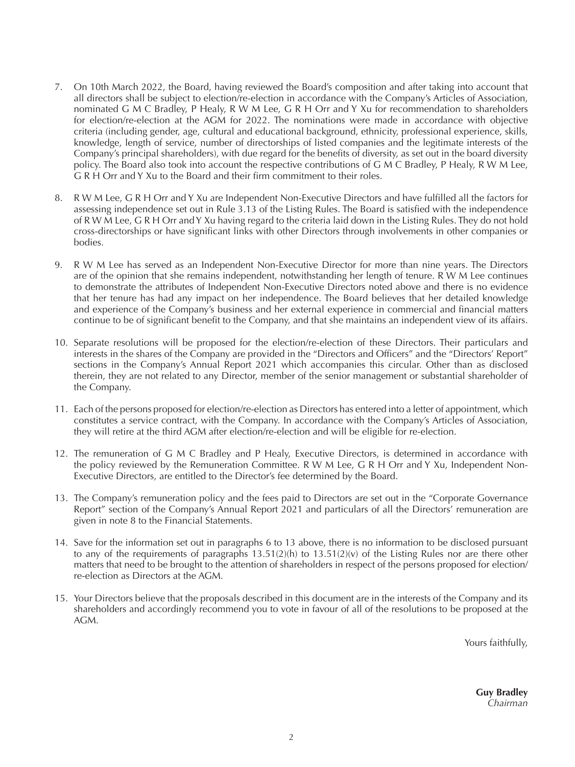- 7. On 10th March 2022, the Board, having reviewed the Board's composition and after taking into account that all directors shall be subject to election/re-election in accordance with the Company's Articles of Association, nominated G M C Bradley, P Healy, R W M Lee, G R H Orr and Y Xu for recommendation to shareholders for election/re-election at the AGM for 2022. The nominations were made in accordance with objective criteria (including gender, age, cultural and educational background, ethnicity, professional experience, skills, knowledge, length of service, number of directorships of listed companies and the legitimate interests of the Company's principal shareholders), with due regard for the benefits of diversity, as set out in the board diversity policy. The Board also took into account the respective contributions of G M C Bradley, P Healy, R W M Lee, G R H Orr and Y Xu to the Board and their firm commitment to their roles.
- 8. R W M Lee, G R H Orr and Y Xu are Independent Non-Executive Directors and have fulfilled all the factors for assessing independence set out in Rule 3.13 of the Listing Rules. The Board is satisfied with the independence of R W M Lee, G R H Orr and Y Xu having regard to the criteria laid down in the Listing Rules. They do not hold cross-directorships or have significant links with other Directors through involvements in other companies or bodies.
- 9. R W M Lee has served as an Independent Non-Executive Director for more than nine years. The Directors are of the opinion that she remains independent, notwithstanding her length of tenure. R W M Lee continues to demonstrate the attributes of Independent Non-Executive Directors noted above and there is no evidence that her tenure has had any impact on her independence. The Board believes that her detailed knowledge and experience of the Company's business and her external experience in commercial and financial matters continue to be of significant benefit to the Company, and that she maintains an independent view of its affairs.
- 10. Separate resolutions will be proposed for the election/re-election of these Directors. Their particulars and interests in the shares of the Company are provided in the "Directors and Officers" and the "Directors' Report" sections in the Company's Annual Report 2021 which accompanies this circular. Other than as disclosed therein, they are not related to any Director, member of the senior management or substantial shareholder of the Company.
- 11. Each of the persons proposed for election/re-election as Directors has entered into a letter of appointment, which constitutes a service contract, with the Company. In accordance with the Company's Articles of Association, they will retire at the third AGM after election/re-election and will be eligible for re-election.
- 12. The remuneration of G M C Bradley and P Healy, Executive Directors, is determined in accordance with the policy reviewed by the Remuneration Committee. R W M Lee, G R H Orr and Y Xu, Independent Non-Executive Directors, are entitled to the Director's fee determined by the Board.
- 13. The Company's remuneration policy and the fees paid to Directors are set out in the "Corporate Governance Report" section of the Company's Annual Report 2021 and particulars of all the Directors' remuneration are given in note 8 to the Financial Statements.
- 14. Save for the information set out in paragraphs 6 to 13 above, there is no information to be disclosed pursuant to any of the requirements of paragraphs  $13.51(2)(h)$  to  $13.51(2)(v)$  of the Listing Rules nor are there other matters that need to be brought to the attention of shareholders in respect of the persons proposed for election/ re-election as Directors at the AGM.
- 15. Your Directors believe that the proposals described in this document are in the interests of the Company and its shareholders and accordingly recommend you to vote in favour of all of the resolutions to be proposed at the AGM.

Yours faithfully,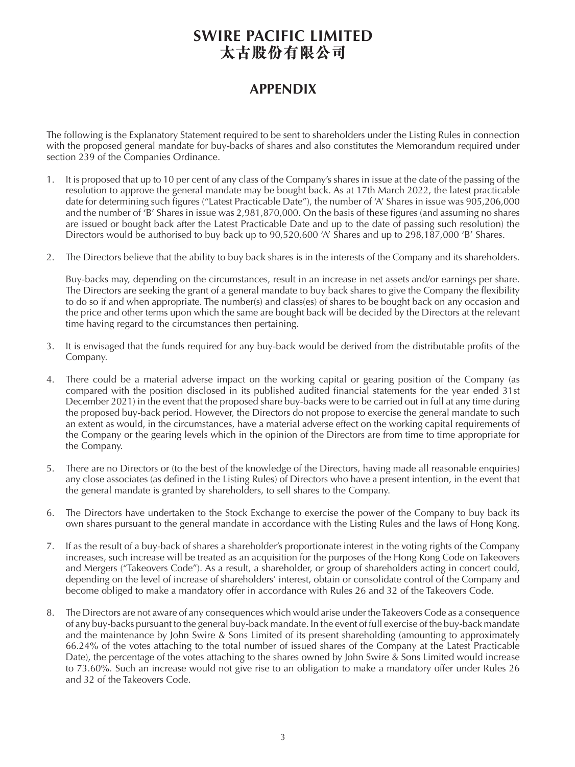# **SWIRE PACIFIC LIMITED 太古股份有限公司**

## **APPENDIX**

The following is the Explanatory Statement required to be sent to shareholders under the Listing Rules in connection with the proposed general mandate for buy-backs of shares and also constitutes the Memorandum required under section 239 of the Companies Ordinance.

- 1. It is proposed that up to 10 per cent of any class of the Company's shares in issue at the date of the passing of the resolution to approve the general mandate may be bought back. As at 17th March 2022, the latest practicable date for determining such figures ("Latest Practicable Date"), the number of 'A' Shares in issue was 905,206,000 and the number of 'B' Shares in issue was 2,981,870,000. On the basis of these figures (and assuming no shares are issued or bought back after the Latest Practicable Date and up to the date of passing such resolution) the Directors would be authorised to buy back up to 90,520,600 'A' Shares and up to 298,187,000 'B' Shares.
- 2. The Directors believe that the ability to buy back shares is in the interests of the Company and its shareholders.

Buy-backs may, depending on the circumstances, result in an increase in net assets and/or earnings per share. The Directors are seeking the grant of a general mandate to buy back shares to give the Company the flexibility to do so if and when appropriate. The number(s) and class(es) of shares to be bought back on any occasion and the price and other terms upon which the same are bought back will be decided by the Directors at the relevant time having regard to the circumstances then pertaining.

- 3. It is envisaged that the funds required for any buy-back would be derived from the distributable profits of the Company.
- 4. There could be a material adverse impact on the working capital or gearing position of the Company (as compared with the position disclosed in its published audited financial statements for the year ended 31st December 2021) in the event that the proposed share buy-backs were to be carried out in full at any time during the proposed buy-back period. However, the Directors do not propose to exercise the general mandate to such an extent as would, in the circumstances, have a material adverse effect on the working capital requirements of the Company or the gearing levels which in the opinion of the Directors are from time to time appropriate for the Company.
- 5. There are no Directors or (to the best of the knowledge of the Directors, having made all reasonable enquiries) any close associates (as defined in the Listing Rules) of Directors who have a present intention, in the event that the general mandate is granted by shareholders, to sell shares to the Company.
- 6. The Directors have undertaken to the Stock Exchange to exercise the power of the Company to buy back its own shares pursuant to the general mandate in accordance with the Listing Rules and the laws of Hong Kong.
- 7. If as the result of a buy-back of shares a shareholder's proportionate interest in the voting rights of the Company increases, such increase will be treated as an acquisition for the purposes of the Hong Kong Code on Takeovers and Mergers ("Takeovers Code"). As a result, a shareholder, or group of shareholders acting in concert could, depending on the level of increase of shareholders' interest, obtain or consolidate control of the Company and become obliged to make a mandatory offer in accordance with Rules 26 and 32 of the Takeovers Code.
- 8. The Directors are not aware of any consequences which would arise under the Takeovers Code as a consequence of any buy-backs pursuant to the general buy-back mandate. In the event of full exercise of the buy-back mandate and the maintenance by John Swire & Sons Limited of its present shareholding (amounting to approximately 66.24% of the votes attaching to the total number of issued shares of the Company at the Latest Practicable Date), the percentage of the votes attaching to the shares owned by John Swire & Sons Limited would increase to 73.60%. Such an increase would not give rise to an obligation to make a mandatory offer under Rules 26 and 32 of the Takeovers Code.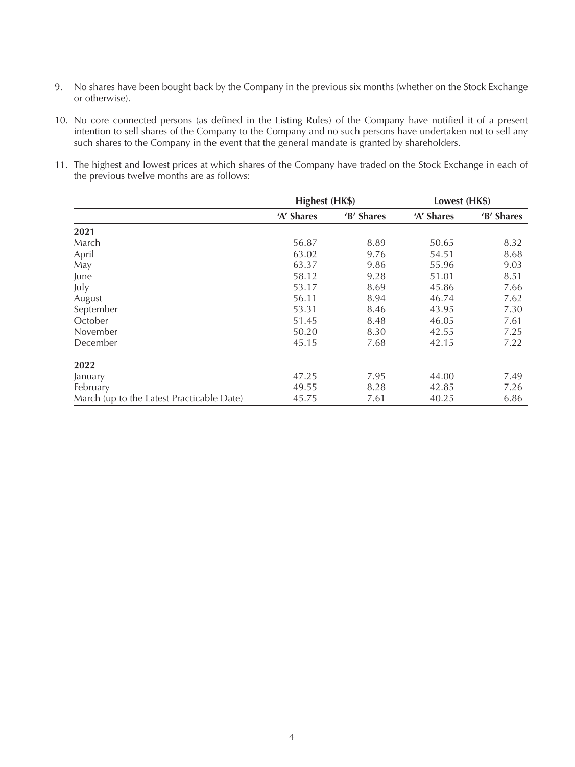- 9. No shares have been bought back by the Company in the previous six months (whether on the Stock Exchange or otherwise).
- 10. No core connected persons (as defined in the Listing Rules) of the Company have notified it of a present intention to sell shares of the Company to the Company and no such persons have undertaken not to sell any such shares to the Company in the event that the general mandate is granted by shareholders.
- 11. The highest and lowest prices at which shares of the Company have traded on the Stock Exchange in each of the previous twelve months are as follows:

|                                           | Highest (HK\$) |            | Lowest (HK\$) |            |
|-------------------------------------------|----------------|------------|---------------|------------|
|                                           | 'A' Shares     | 'B' Shares | 'A' Shares    | 'B' Shares |
| 2021                                      |                |            |               |            |
| March                                     | 56.87          | 8.89       | 50.65         | 8.32       |
| April                                     | 63.02          | 9.76       | 54.51         | 8.68       |
| May                                       | 63.37          | 9.86       | 55.96         | 9.03       |
| June                                      | 58.12          | 9.28       | 51.01         | 8.51       |
| July                                      | 53.17          | 8.69       | 45.86         | 7.66       |
| August                                    | 56.11          | 8.94       | 46.74         | 7.62       |
| September                                 | 53.31          | 8.46       | 43.95         | 7.30       |
| October                                   | 51.45          | 8.48       | 46.05         | 7.61       |
| November                                  | 50.20          | 8.30       | 42.55         | 7.25       |
| December                                  | 45.15          | 7.68       | 42.15         | 7.22       |
| 2022                                      |                |            |               |            |
| January                                   | 47.25          | 7.95       | 44.00         | 7.49       |
| February                                  | 49.55          | 8.28       | 42.85         | 7.26       |
| March (up to the Latest Practicable Date) | 45.75          | 7.61       | 40.25         | 6.86       |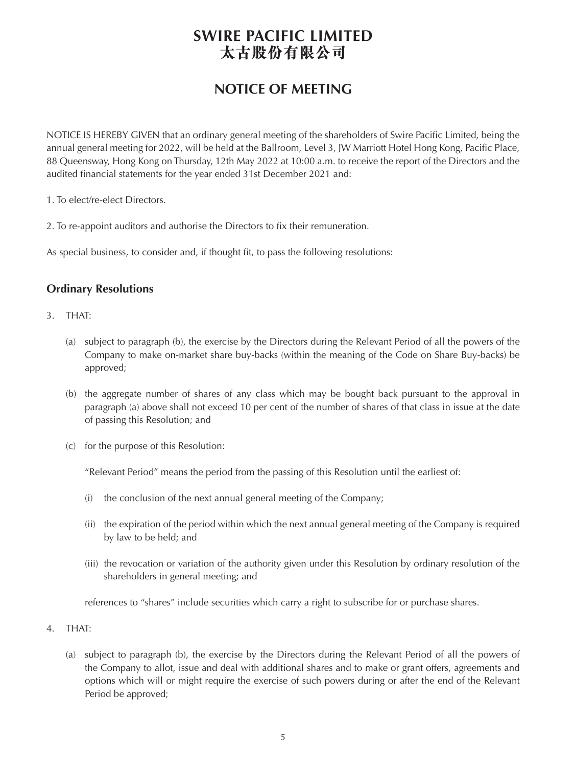# **SWIRE PACIFIC LIMITED 太古股份有限公司**

# **NOTICE OF MEETING**

NOTICE IS HEREBY GIVEN that an ordinary general meeting of the shareholders of Swire Pacific Limited, being the annual general meeting for 2022, will be held at the Ballroom, Level 3, JW Marriott Hotel Hong Kong, Pacific Place, 88 Queensway, Hong Kong on Thursday, 12th May 2022 at 10:00 a.m. to receive the report of the Directors and the audited financial statements for the year ended 31st December 2021 and:

- 1. To elect/re-elect Directors.
- 2. To re-appoint auditors and authorise the Directors to fix their remuneration.

As special business, to consider and, if thought fit, to pass the following resolutions:

### **Ordinary Resolutions**

- 3. THAT:
	- (a) subject to paragraph (b), the exercise by the Directors during the Relevant Period of all the powers of the Company to make on-market share buy-backs (within the meaning of the Code on Share Buy-backs) be approved;
	- (b) the aggregate number of shares of any class which may be bought back pursuant to the approval in paragraph (a) above shall not exceed 10 per cent of the number of shares of that class in issue at the date of passing this Resolution; and
	- (c) for the purpose of this Resolution:

"Relevant Period" means the period from the passing of this Resolution until the earliest of:

- (i) the conclusion of the next annual general meeting of the Company;
- (ii) the expiration of the period within which the next annual general meeting of the Company is required by law to be held; and
- (iii) the revocation or variation of the authority given under this Resolution by ordinary resolution of the shareholders in general meeting; and

references to "shares" include securities which carry a right to subscribe for or purchase shares.

- 4. THAT:
	- (a) subject to paragraph (b), the exercise by the Directors during the Relevant Period of all the powers of the Company to allot, issue and deal with additional shares and to make or grant offers, agreements and options which will or might require the exercise of such powers during or after the end of the Relevant Period be approved;